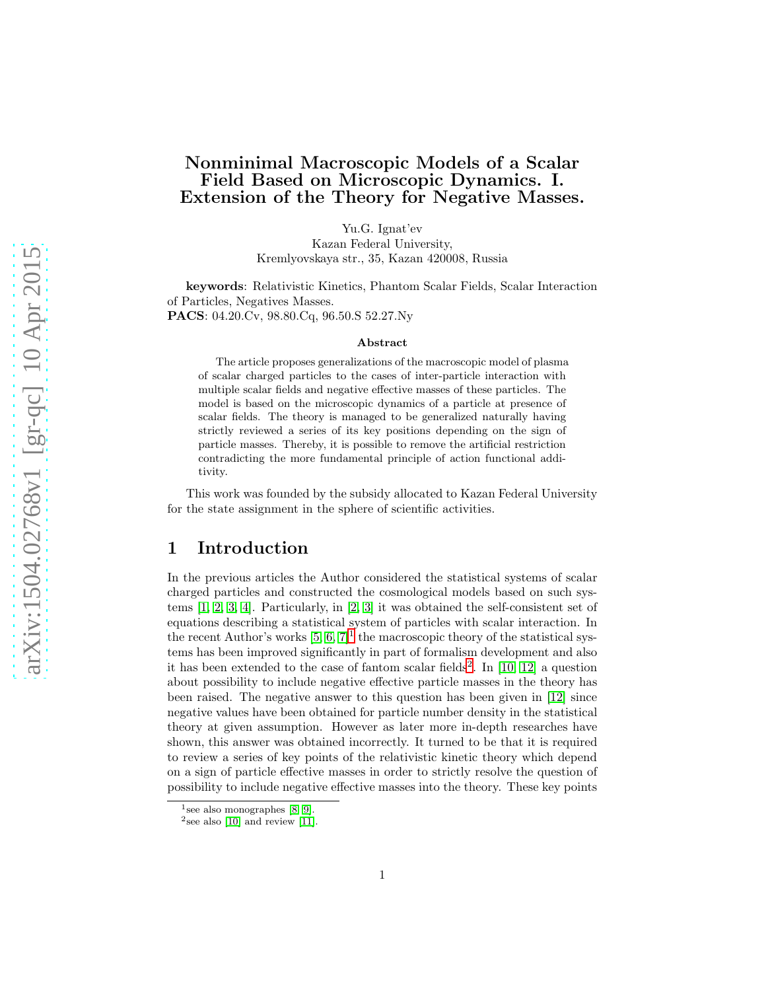### Nonminimal Macroscopic Models of a Scalar Field Based on Microscopic Dynamics. I. Extension of the Theory for Negative Masses.

Yu.G. Ignat'ev

Kazan Federal University, Kremlyovskaya str., 35, Kazan 420008, Russia

keywords: Relativistic Kinetics, Phantom Scalar Fields, Scalar Interaction of Particles, Negatives Masses. PACS: 04.20.Cv, 98.80.Cq, 96.50.S 52.27.Ny

#### Abstract

The article proposes generalizations of the macroscopic model of plasma of scalar charged particles to the cases of inter-particle interaction with multiple scalar fields and negative effective masses of these particles. The model is based on the microscopic dynamics of a particle at presence of scalar fields. The theory is managed to be generalized naturally having strictly reviewed a series of its key positions depending on the sign of particle masses. Thereby, it is possible to remove the artificial restriction contradicting the more fundamental principle of action functional additivity.

This work was founded by the subsidy allocated to Kazan Federal University for the state assignment in the sphere of scientific activities.

### 1 Introduction

In the previous articles the Author considered the statistical systems of scalar charged particles and constructed the cosmological models based on such systems [\[1,](#page-11-0) [2,](#page-11-1) [3,](#page-11-2) [4\]](#page-11-3). Particularly, in [\[2,](#page-11-1) [3\]](#page-11-2) it was obtained the self-consistent set of equations describing a statistical system of particles with scalar interaction. In the recent Author's works  $[5, 6, 7]^1$  $[5, 6, 7]^1$  $[5, 6, 7]^1$  $[5, 6, 7]^1$  $[5, 6, 7]^1$  the macroscopic theory of the statistical systems has been improved significantly in part of formalism development and also it has been extended to the case of fantom scalar fields<sup>[2](#page-0-1)</sup>. In [\[10,](#page-11-7) [12\]](#page-12-0) a question about possibility to include negative effective particle masses in the theory has been raised. The negative answer to this question has been given in [\[12\]](#page-12-0) since negative values have been obtained for particle number density in the statistical theory at given assumption. However as later more in-depth researches have shown, this answer was obtained incorrectly. It turned to be that it is required to review a series of key points of the relativistic kinetic theory which depend on a sign of particle effective masses in order to strictly resolve the question of possibility to include negative effective masses into the theory. These key points

<sup>1</sup> see also monographes [\[8,](#page-11-8) [9\]](#page-11-9).

<span id="page-0-1"></span><span id="page-0-0"></span> $^{2}$ see also [\[10\]](#page-11-7) and review [\[11\]](#page-11-10).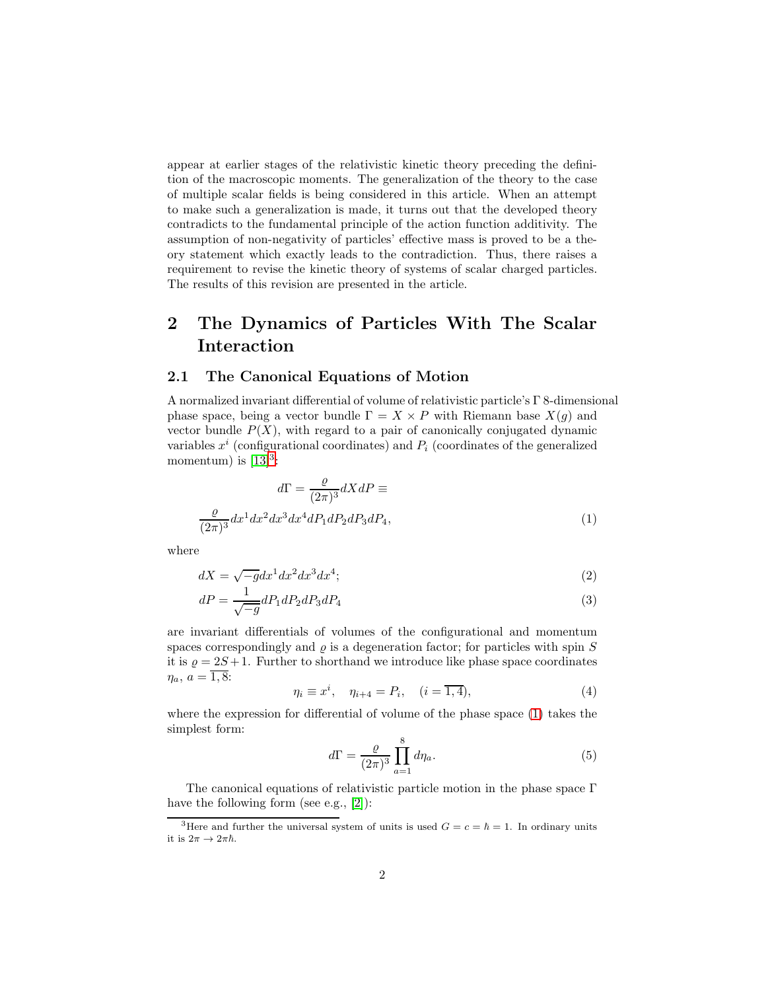appear at earlier stages of the relativistic kinetic theory preceding the definition of the macroscopic moments. The generalization of the theory to the case of multiple scalar fields is being considered in this article. When an attempt to make such a generalization is made, it turns out that the developed theory contradicts to the fundamental principle of the action function additivity. The assumption of non-negativity of particles' effective mass is proved to be a theory statement which exactly leads to the contradiction. Thus, there raises a requirement to revise the kinetic theory of systems of scalar charged particles. The results of this revision are presented in the article.

# 2 The Dynamics of Particles With The Scalar Interaction

#### 2.1 The Canonical Equations of Motion

A normalized invariant differential of volume of relativistic particle's Γ 8-dimensional phase space, being a vector bundle  $\Gamma = X \times P$  with Riemann base  $X(q)$  and vector bundle  $P(X)$ , with regard to a pair of canonically conjugated dynamic variables  $x^i$  (configurational coordinates) and  $P_i$  (coordinates of the generalized momentum) is  $[13]^3$  $[13]^3$  $[13]^3$ :

<span id="page-1-1"></span>
$$
d\Gamma = \frac{\varrho}{(2\pi)^3} dX dP \equiv
$$
  

$$
\frac{\varrho}{(2\pi)^3} dx^1 dx^2 dx^3 dx^4 dP_1 dP_2 dP_3 dP_4,
$$
 (1)

where

$$
dX = \sqrt{-g}dx^1 dx^2 dx^3 dx^4; \tag{2}
$$

$$
dP = \frac{1}{\sqrt{-g}} dP_1 dP_2 dP_3 dP_4 \tag{3}
$$

are invariant differentials of volumes of the configurational and momentum spaces correspondingly and  $\rho$  is a degeneration factor; for particles with spin  $S$ it is  $\rho = 2S + 1$ . Further to shorthand we introduce like phase space coordinates  $\eta_a, a = \overline{1, 8}$ :

$$
\eta_i \equiv x^i, \quad \eta_{i+4} = P_i, \quad (i = \overline{1, 4}), \tag{4}
$$

where the expression for differential of volume of the phase space [\(1\)](#page-1-1) takes the simplest form:

$$
d\Gamma = \frac{\varrho}{(2\pi)^3} \prod_{a=1}^8 d\eta_a.
$$
 (5)

The canonical equations of relativistic particle motion in the phase space Γ have the following form (see e.g., [\[2\]](#page-11-1)):

<span id="page-1-0"></span><sup>&</sup>lt;sup>3</sup>Here and further the universal system of units is used  $G = c = \hbar = 1$ . In ordinary units it is  $2\pi \rightarrow 2\pi \hbar$ .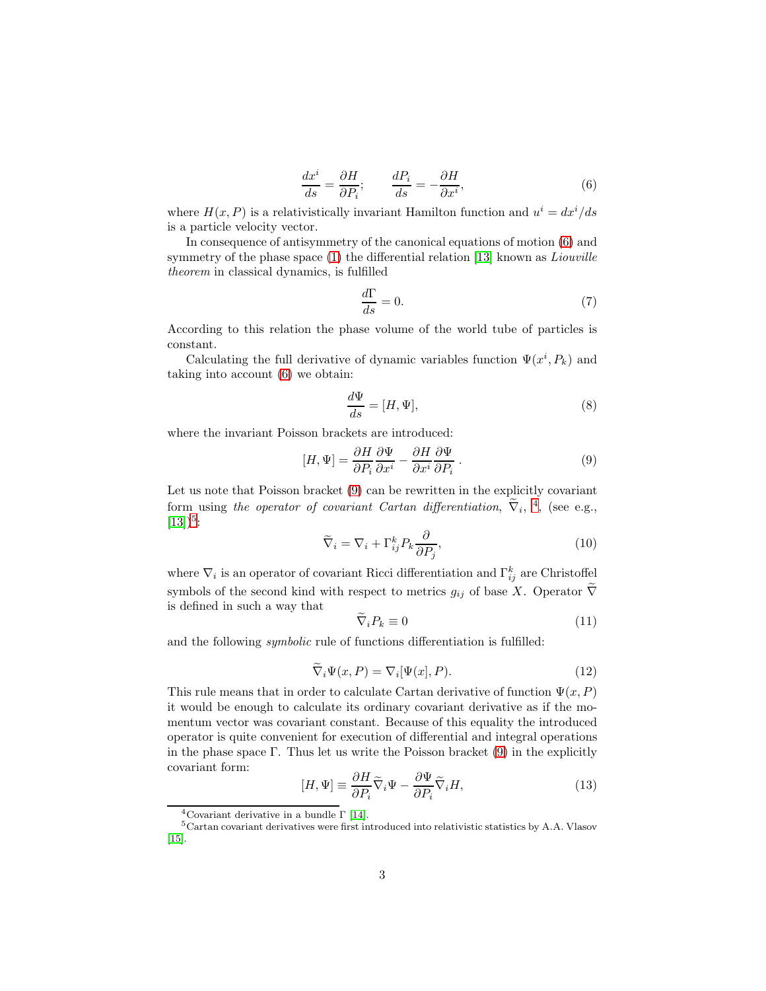<span id="page-2-0"></span>
$$
\frac{dx^i}{ds} = \frac{\partial H}{\partial P_i}; \qquad \frac{dP_i}{ds} = -\frac{\partial H}{\partial x^i},\tag{6}
$$

where  $H(x, P)$  is a relativistically invariant Hamilton function and  $u^i = dx^i/ds$ is a particle velocity vector.

In consequence of antisymmetry of the canonical equations of motion [\(6\)](#page-2-0) and symmetry of the phase space  $(1)$  the differential relation [\[13\]](#page-12-1) known as *Liouville* theorem in classical dynamics, is fulfilled

$$
\frac{d\Gamma}{ds} = 0.\t\t(7)
$$

According to this relation the phase volume of the world tube of particles is constant.

Calculating the full derivative of dynamic variables function  $\Psi(x^i, P_k)$  and taking into account [\(6\)](#page-2-0) we obtain:

<span id="page-2-5"></span>
$$
\frac{d\Psi}{ds} = [H, \Psi],\tag{8}
$$

where the invariant Poisson brackets are introduced:

<span id="page-2-1"></span>
$$
[H, \Psi] = \frac{\partial H}{\partial P_i} \frac{\partial \Psi}{\partial x^i} - \frac{\partial H}{\partial x^i} \frac{\partial \Psi}{\partial P_i}.
$$
 (9)

Let us note that Poisson bracket [\(9\)](#page-2-1) can be rewritten in the explicitly covariant form using the operator of covariant Cartan differentiation,  $\tilde{\nabla}_i$ , <sup>[4](#page-2-2)</sup>, (see e.g.,  $[13]$ <sup>[5](#page-2-3)</sup>:

$$
\widetilde{\nabla}_i = \nabla_i + \Gamma^k_{ij} P_k \frac{\partial}{\partial P_j},\tag{10}
$$

where  $\nabla_i$  is an operator of covariant Ricci differentiation and  $\Gamma_{ij}^k$  are Christoffel symbols of the second kind with respect to metrics  $g_{ij}$  of base X. Operator  $\tilde{\nabla}$ is defined in such a way that

$$
\tilde{\nabla}_i P_k \equiv 0 \tag{11}
$$

and the following symbolic rule of functions differentiation is fulfilled:

$$
\widetilde{\nabla}_i \Psi(x, P) = \nabla_i [\Psi(x], P). \tag{12}
$$

This rule means that in order to calculate Cartan derivative of function  $\Psi(x, P)$ it would be enough to calculate its ordinary covariant derivative as if the momentum vector was covariant constant. Because of this equality the introduced operator is quite convenient for execution of differential and integral operations in the phase space  $\Gamma$ . Thus let us write the Poisson bracket [\(9\)](#page-2-1) in the explicitly covariant form:

<span id="page-2-4"></span>
$$
[H, \Psi] \equiv \frac{\partial H}{\partial P_i} \widetilde{\nabla}_i \Psi - \frac{\partial \Psi}{\partial P_i} \widetilde{\nabla}_i H,\tag{13}
$$

<span id="page-2-2"></span><sup>&</sup>lt;sup>4</sup>Covariant derivative in a bundle  $Γ$  [\[14\]](#page-12-2).

<span id="page-2-3"></span><sup>5</sup>Cartan covariant derivatives were first introduced into relativistic statistics by A.A. Vlasov [\[15\]](#page-12-3).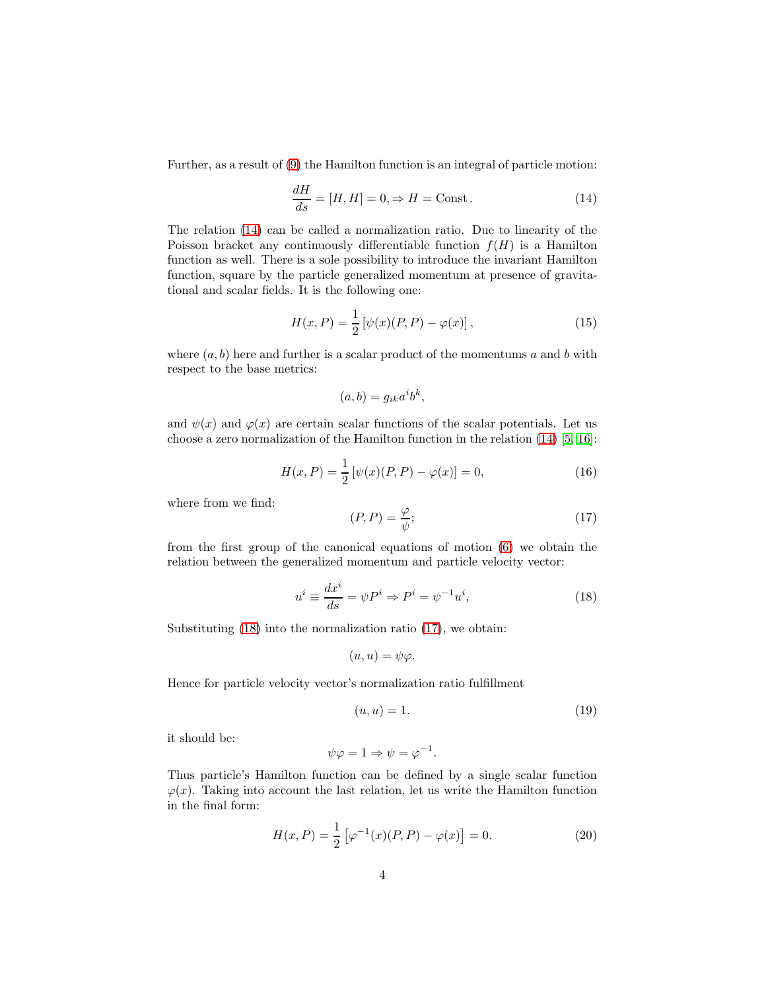Further, as a result of [\(9\)](#page-2-1) the Hamilton function is an integral of particle motion:

<span id="page-3-0"></span>
$$
\frac{dH}{ds} = [H, H] = 0, \Rightarrow H = \text{Const.}\tag{14}
$$

The relation [\(14\)](#page-3-0) can be called a normalization ratio. Due to linearity of the Poisson bracket any continuously differentiable function  $f(H)$  is a Hamilton function as well. There is a sole possibility to introduce the invariant Hamilton function, square by the particle generalized momentum at presence of gravitational and scalar fields. It is the following one:

<span id="page-3-3"></span>
$$
H(x, P) = \frac{1}{2} [\psi(x)(P, P) - \varphi(x)],
$$
\n(15)

where  $(a, b)$  here and further is a scalar product of the momentums a and b with respect to the base metrics:

$$
(a,b) = g_{ik}a^ib^k,
$$

and  $\psi(x)$  and  $\varphi(x)$  are certain scalar functions of the scalar potentials. Let us choose a zero normalization of the Hamilton function in the relation [\(14\)](#page-3-0) [\[5,](#page-11-4) [16\]](#page-12-4):

$$
H(x, P) = \frac{1}{2} [\psi(x)(P, P) - \varphi(x)] = 0,
$$
\n(16)

where from we find:

<span id="page-3-2"></span>
$$
(P, P) = \frac{\varphi}{\psi};\tag{17}
$$

from the first group of the canonical equations of motion [\(6\)](#page-2-0) we obtain the relation between the generalized momentum and particle velocity vector:

<span id="page-3-1"></span>
$$
u^i \equiv \frac{dx^i}{ds} = \psi P^i \Rightarrow P^i = \psi^{-1} u^i,\tag{18}
$$

Substituting [\(18\)](#page-3-1) into the normalization ratio [\(17\)](#page-3-2), we obtain:

$$
(u, u) = \psi \varphi.
$$

Hence for particle velocity vector's normalization ratio fulfillment

$$
(u, u) = 1.\t(19)
$$

it should be:

$$
\psi\varphi = 1 \Rightarrow \psi = \varphi^{-1}.
$$

Thus particle's Hamilton function can be defined by a single scalar function  $\varphi(x)$ . Taking into account the last relation, let us write the Hamilton function in the final form:

<span id="page-3-4"></span>
$$
H(x, P) = \frac{1}{2} [\varphi^{-1}(x)(P, P) - \varphi(x)] = 0.
$$
 (20)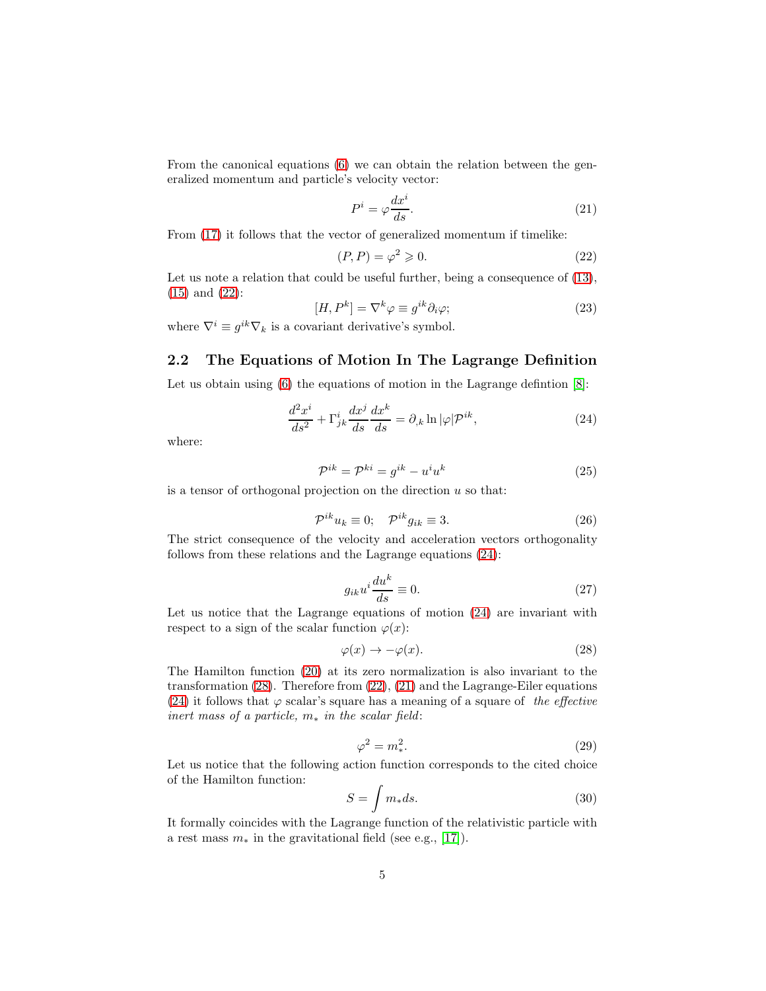From the canonical equations [\(6\)](#page-2-0) we can obtain the relation between the generalized momentum and particle's velocity vector:

<span id="page-4-3"></span>
$$
P^i = \varphi \frac{dx^i}{ds}.\tag{21}
$$

From [\(17\)](#page-3-2) it follows that the vector of generalized momentum if timelike:

<span id="page-4-0"></span>
$$
(P, P) = \varphi^2 \geqslant 0. \tag{22}
$$

Let us note a relation that could be useful further, being a consequence of  $(13)$ , [\(15\)](#page-3-3) and [\(22\)](#page-4-0):

$$
[H, P^k] = \nabla^k \varphi \equiv g^{ik} \partial_i \varphi; \tag{23}
$$

where  $\nabla^i \equiv g^{ik}\nabla_k$  is a covariant derivative's symbol.

### 2.2 The Equations of Motion In The Lagrange Definition

Let us obtain using [\(6\)](#page-2-0) the equations of motion in the Lagrange defintion [\[8\]](#page-11-8):

<span id="page-4-1"></span>
$$
\frac{d^2x^i}{ds^2} + \Gamma^i_{jk}\frac{dx^j}{ds}\frac{dx^k}{ds} = \partial_{,k}\ln|\varphi|\mathcal{P}^{ik},\tag{24}
$$

where:

$$
\mathcal{P}^{ik} = \mathcal{P}^{ki} = g^{ik} - u^i u^k \tag{25}
$$

is a tensor of orthogonal projection on the direction  $u$  so that:

$$
\mathcal{P}^{ik}u_k \equiv 0; \quad \mathcal{P}^{ik}g_{ik} \equiv 3. \tag{26}
$$

The strict consequence of the velocity and acceleration vectors orthogonality follows from these relations and the Lagrange equations [\(24\)](#page-4-1):

$$
g_{ik}u^i\frac{du^k}{ds} \equiv 0.\tag{27}
$$

Let us notice that the Lagrange equations of motion [\(24\)](#page-4-1) are invariant with respect to a sign of the scalar function  $\varphi(x)$ :

<span id="page-4-2"></span>
$$
\varphi(x) \to -\varphi(x). \tag{28}
$$

The Hamilton function [\(20\)](#page-3-4) at its zero normalization is also invariant to the transformation [\(28\)](#page-4-2). Therefore from [\(22\)](#page-4-0), [\(21\)](#page-4-3) and the Lagrange-Eiler equations [\(24\)](#page-4-1) it follows that  $\varphi$  scalar's square has a meaning of a square of the effective inert mass of a particle,  $m_*$  in the scalar field:

$$
\varphi^2 = m_*^2. \tag{29}
$$

Let us notice that the following action function corresponds to the cited choice of the Hamilton function:

<span id="page-4-4"></span>
$$
S = \int m_* ds.
$$
 (30)

It formally coincides with the Lagrange function of the relativistic particle with a rest mass  $m_*$  in the gravitational field (see e.g., [\[17\]](#page-12-5)).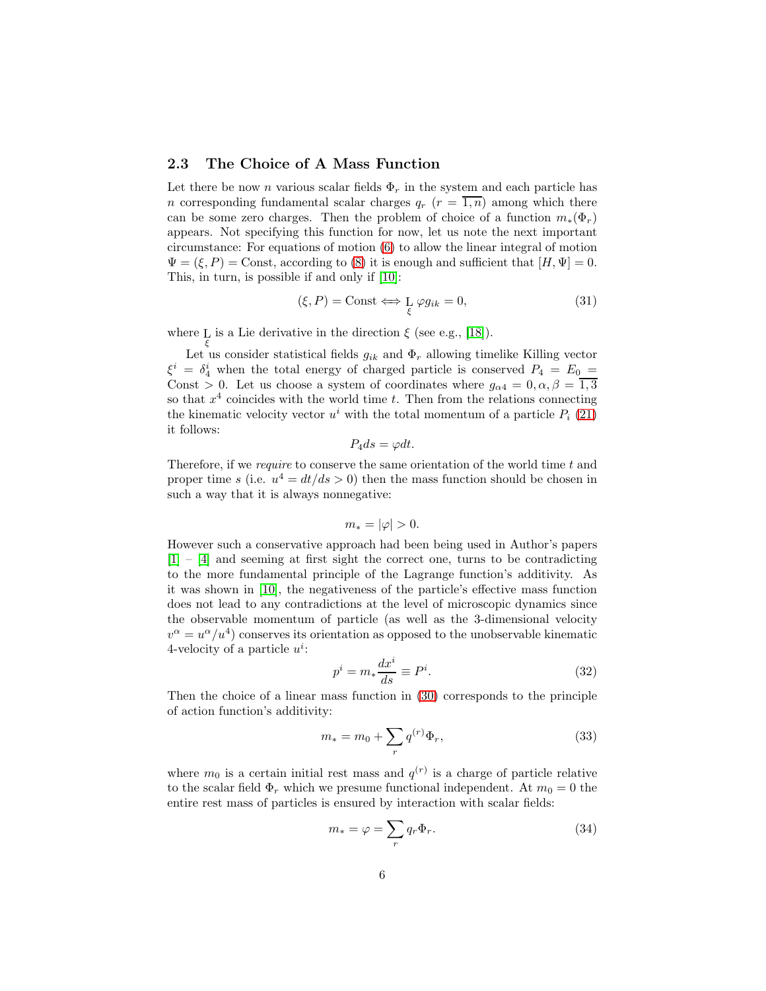#### 2.3 The Choice of A Mass Function

Let there be now n various scalar fields  $\Phi_r$  in the system and each particle has n corresponding fundamental scalar charges  $q_r$  ( $r = \overline{1,n}$ ) among which there can be some zero charges. Then the problem of choice of a function  $m_*(\Phi_r)$ appears. Not specifying this function for now, let us note the next important circumstance: For equations of motion [\(6\)](#page-2-0) to allow the linear integral of motion  $\Psi = (\xi, P) = \text{Const}, \text{according to (8)}$  $\Psi = (\xi, P) = \text{Const}, \text{according to (8)}$  $\Psi = (\xi, P) = \text{Const}, \text{according to (8)}$  it is enough and sufficient that  $[H, \Psi] = 0$ . This, in turn, is possible if and only if [\[10\]](#page-11-7):

$$
(\xi, P) = \text{Const} \Longleftrightarrow \underset{\xi}{\text{L}} \varphi g_{ik} = 0,\tag{31}
$$

where  $L$  is a Lie derivative in the direction  $\xi$  (see e.g., [\[18\]](#page-12-6)). ξ

Let us consider statistical fields  $g_{ik}$  and  $\Phi_r$  allowing timelike Killing vector  $\xi^i = \delta_4^i$  when the total energy of charged particle is conserved  $P_4 = E_0$  = Const > 0. Let us choose a system of coordinates where  $g_{\alpha 4} = 0, \alpha, \beta = \overline{1,3}$ so that  $x^4$  coincides with the world time t. Then from the relations connecting the kinematic velocity vector  $u^i$  with the total momentum of a particle  $P_i$  [\(21\)](#page-4-3) it follows:

$$
P_4 ds = \varphi dt.
$$

Therefore, if we *require* to conserve the same orientation of the world time t and proper time s (i.e.  $u^4 = dt/ds > 0$ ) then the mass function should be chosen in such a way that it is always nonnegative:

$$
m_* = |\varphi| > 0.
$$

However such a conservative approach had been being used in Author's papers [\[1\]](#page-11-0) – [\[4\]](#page-11-3) and seeming at first sight the correct one, turns to be contradicting to the more fundamental principle of the Lagrange function's additivity. As it was shown in [\[10\]](#page-11-7), the negativeness of the particle's effective mass function does not lead to any contradictions at the level of microscopic dynamics since the observable momentum of particle (as well as the 3-dimensional velocity  $v^{\alpha} = u^{\alpha}/u^4$  conserves its orientation as opposed to the unobservable kinematic 4-velocity of a particle  $u^i$ :

<span id="page-5-1"></span>
$$
p^i = m_* \frac{dx^i}{ds} \equiv P^i. \tag{32}
$$

Then the choice of a linear mass function in [\(30\)](#page-4-4) corresponds to the principle of action function's additivity:

<span id="page-5-0"></span>
$$
m_* = m_0 + \sum_r q^{(r)} \Phi_r,\tag{33}
$$

where  $m_0$  is a certain initial rest mass and  $q^{(r)}$  is a charge of particle relative to the scalar field  $\Phi_r$  which we presume functional independent. At  $m_0 = 0$  the entire rest mass of particles is ensured by interaction with scalar fields:

$$
m_* = \varphi = \sum_r q_r \Phi_r.
$$
 (34)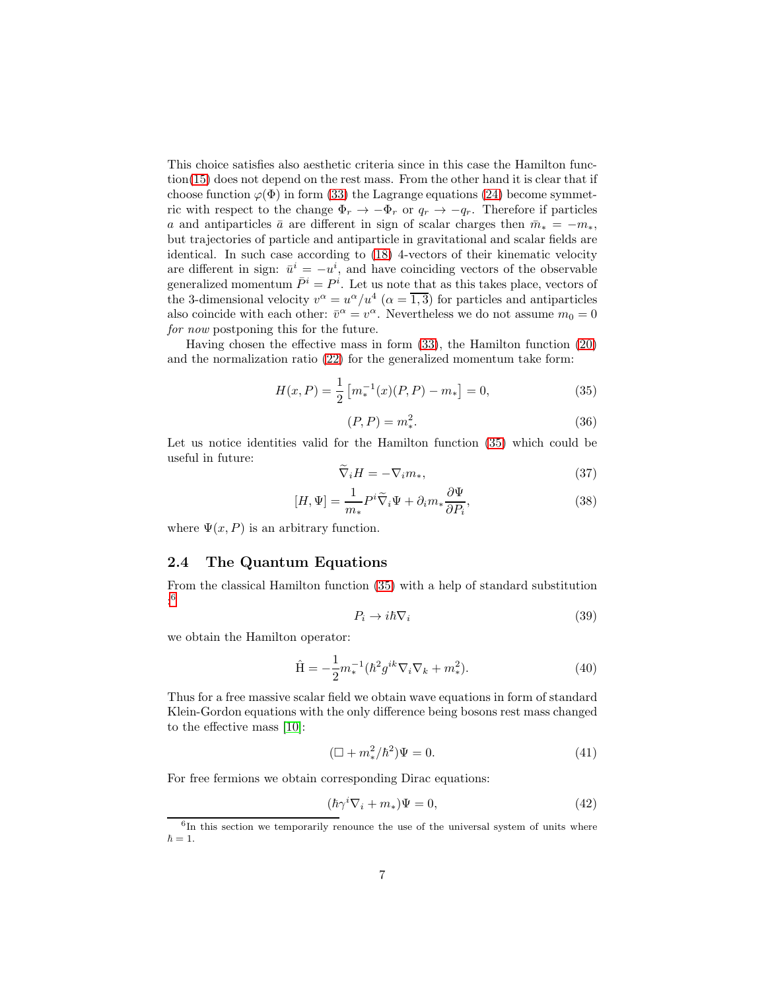This choice satisfies also aesthetic criteria since in this case the Hamilton function[\(15\)](#page-3-3) does not depend on the rest mass. From the other hand it is clear that if choose function  $\varphi(\Phi)$  in form [\(33\)](#page-5-0) the Lagrange equations [\(24\)](#page-4-1) become symmetric with respect to the change  $\Phi_r \to -\Phi_r$  or  $q_r \to -q_r$ . Therefore if particles a and antiparticles  $\bar{a}$  are different in sign of scalar charges then  $\bar{m}_* = -m_*,$ but trajectories of particle and antiparticle in gravitational and scalar fields are identical. In such case according to [\(18\)](#page-3-1) 4-vectors of their kinematic velocity are different in sign:  $\bar{u}^i = -u^i$ , and have coinciding vectors of the observable generalized momentum  $\bar{P}^i = P^i$ . Let us note that as this takes place, vectors of the 3-dimensional velocity  $v^{\alpha} = u^{\alpha}/u^4$   $(\alpha = \overline{1,3})$  for particles and antiparticles also coincide with each other:  $\bar{v}^{\alpha} = v^{\alpha}$ . Nevertheless we do not assume  $m_0 = 0$ for now postponing this for the future.

Having chosen the effective mass in form [\(33\)](#page-5-0), the Hamilton function [\(20\)](#page-3-4) and the normalization ratio [\(22\)](#page-4-0) for the generalized momentum take form:

<span id="page-6-0"></span>
$$
H(x, P) = \frac{1}{2} \left[ m_*^{-1}(x)(P, P) - m_* \right] = 0,
$$
\n(35)

<span id="page-6-3"></span>
$$
(P, P) = m_*^2. \tag{36}
$$

Let us notice identities valid for the Hamilton function [\(35\)](#page-6-0) which could be useful in future:

$$
\widetilde{\nabla}_i H = -\nabla_i m_*,\tag{37}
$$

$$
[H, \Psi] = \frac{1}{m_*} P^i \widetilde{\nabla}_i \Psi + \partial_i m_* \frac{\partial \Psi}{\partial P_i}, \qquad (38)
$$

where  $\Psi(x, P)$  is an arbitrary function.

#### 2.4 The Quantum Equations

From the classical Hamilton function [\(35\)](#page-6-0) with a help of standard substitution : [6](#page-6-1)

$$
P_i \to i\hbar \nabla_i \tag{39}
$$

we obtain the Hamilton operator:

$$
\hat{H} = -\frac{1}{2}m_*^{-1}(\hbar^2 g^{ik}\nabla_i\nabla_k + m_*^2). \tag{40}
$$

Thus for a free massive scalar field we obtain wave equations in form of standard Klein-Gordon equations with the only difference being bosons rest mass changed to the effective mass [\[10\]](#page-11-7):

<span id="page-6-2"></span>
$$
(\Box + m_*^2/\hbar^2)\Psi = 0.
$$
 (41)

For free fermions we obtain corresponding Dirac equations:

$$
(\hbar \gamma^i \nabla_i + m_*) \Psi = 0, \qquad (42)
$$

<span id="page-6-1"></span><sup>&</sup>lt;sup>6</sup>In this section we temporarily renounce the use of the universal system of units where  $\hbar = 1.$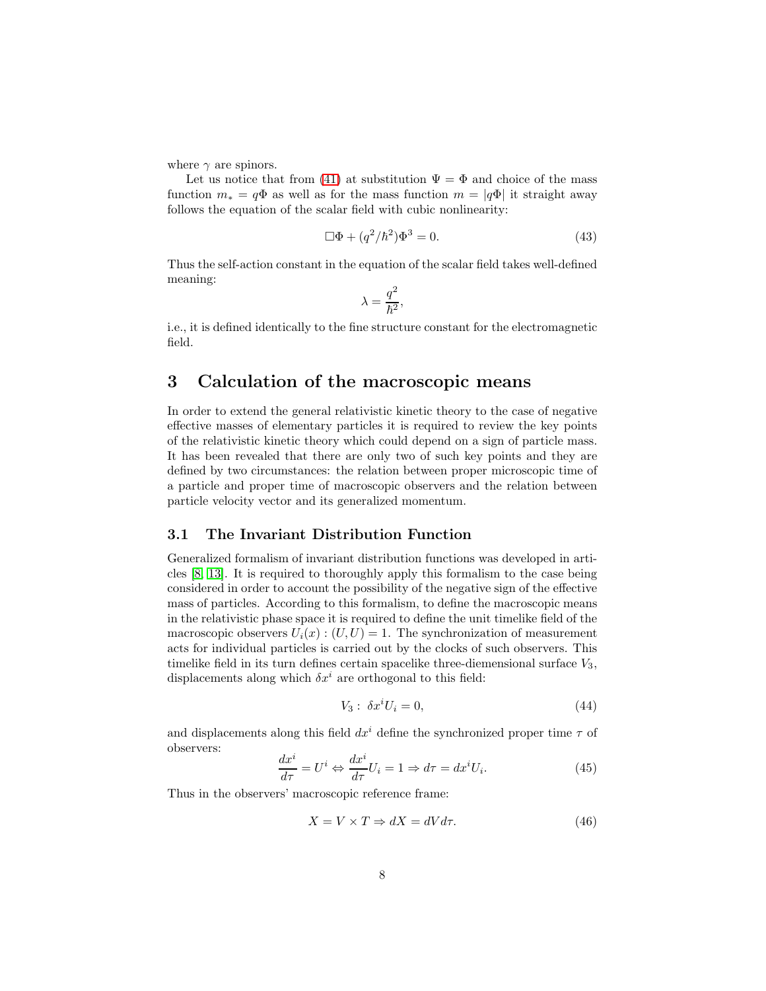where  $\gamma$  are spinors.

Let us notice that from [\(41\)](#page-6-2) at substitution  $\Psi = \Phi$  and choice of the mass function  $m_* = q\Phi$  as well as for the mass function  $m = |q\Phi|$  it straight away follows the equation of the scalar field with cubic nonlinearity:

$$
\Box \Phi + (q^2/\hbar^2)\Phi^3 = 0.
$$
\n(43)

Thus the self-action constant in the equation of the scalar field takes well-defined meaning:

$$
\lambda=\frac{q^2}{\hbar^2},
$$

i.e., it is defined identically to the fine structure constant for the electromagnetic field.

### 3 Calculation of the macroscopic means

In order to extend the general relativistic kinetic theory to the case of negative effective masses of elementary particles it is required to review the key points of the relativistic kinetic theory which could depend on a sign of particle mass. It has been revealed that there are only two of such key points and they are defined by two circumstances: the relation between proper microscopic time of a particle and proper time of macroscopic observers and the relation between particle velocity vector and its generalized momentum.

### 3.1 The Invariant Distribution Function

Generalized formalism of invariant distribution functions was developed in articles [\[8,](#page-11-8) [13\]](#page-12-1). It is required to thoroughly apply this formalism to the case being considered in order to account the possibility of the negative sign of the effective mass of particles. According to this formalism, to define the macroscopic means in the relativistic phase space it is required to define the unit timelike field of the macroscopic observers  $U_i(x)$ :  $(U, U) = 1$ . The synchronization of measurement acts for individual particles is carried out by the clocks of such observers. This timelike field in its turn defines certain spacelike three-diemensional surface  $V_3$ , displacements along which  $\delta x^i$  are orthogonal to this field:

<span id="page-7-0"></span>
$$
V_3: \delta x^i U_i = 0,\t\t(44)
$$

and displacements along this field  $dx^i$  define the synchronized proper time  $\tau$  of observers:

<span id="page-7-1"></span>
$$
\frac{dx^{i}}{d\tau} = U^{i} \Leftrightarrow \frac{dx^{i}}{d\tau}U_{i} = 1 \Rightarrow d\tau = dx^{i}U_{i}.
$$
\n(45)

Thus in the observers' macroscopic reference frame:

$$
X = V \times T \Rightarrow dX = dV d\tau. \tag{46}
$$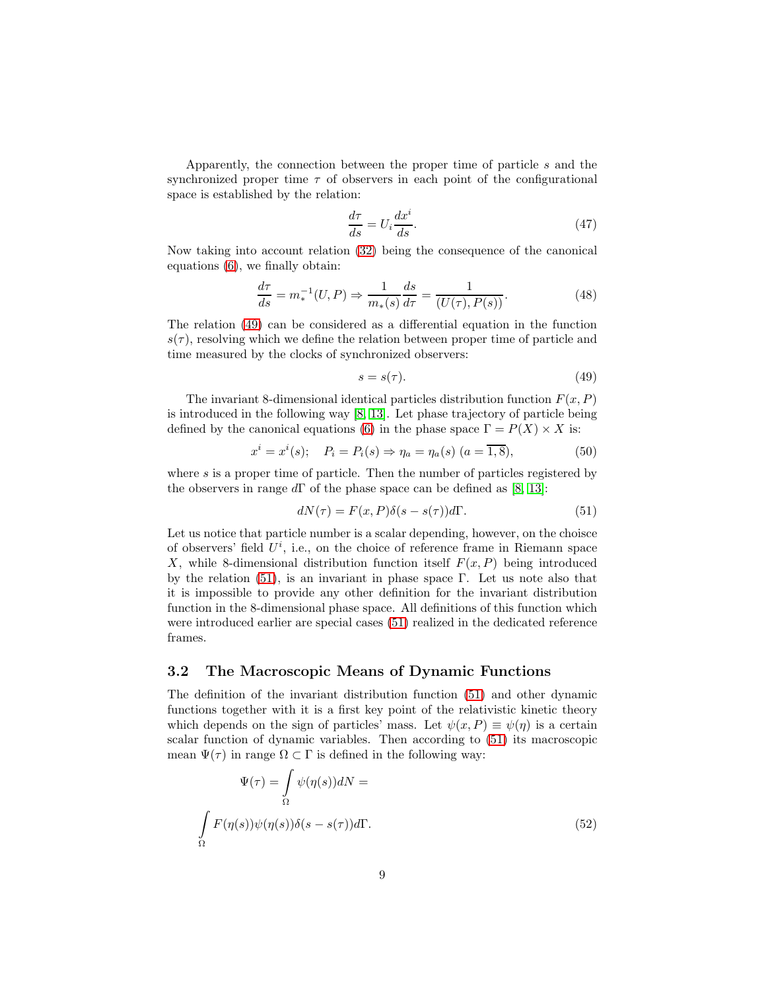Apparently, the connection between the proper time of particle s and the synchronized proper time  $\tau$  of observers in each point of the configurational space is established by the relation:

$$
\frac{d\tau}{ds} = U_i \frac{dx^i}{ds}.\tag{47}
$$

Now taking into account relation [\(32\)](#page-5-1) being the consequence of the canonical equations [\(6\)](#page-2-0), we finally obtain:

$$
\frac{d\tau}{ds} = m_*^{-1}(U, P) \Rightarrow \frac{1}{m_*(s)} \frac{ds}{d\tau} = \frac{1}{(U(\tau), P(s))}.
$$
 (48)

The relation [\(49\)](#page-8-0) can be considered as a differential equation in the function  $s(\tau)$ , resolving which we define the relation between proper time of particle and time measured by the clocks of synchronized observers:

<span id="page-8-0"></span>
$$
s = s(\tau). \tag{49}
$$

The invariant 8-dimensional identical particles distribution function  $F(x, P)$ is introduced in the following way [\[8,](#page-11-8) [13\]](#page-12-1). Let phase trajectory of particle being defined by the canonical equations [\(6\)](#page-2-0) in the phase space  $\Gamma = P(X) \times X$  is:

$$
x^{i} = x^{i}(s);
$$
  $P_{i} = P_{i}(s) \Rightarrow \eta_{a} = \eta_{a}(s) \ (a = \overline{1, 8}),$  (50)

where s is a proper time of particle. Then the number of particles registered by the observers in range  $d\Gamma$  of the phase space can be defined as [\[8,](#page-11-8) [13\]](#page-12-1):

<span id="page-8-1"></span>
$$
dN(\tau) = F(x, P)\delta(s - s(\tau))d\Gamma.
$$
\n(51)

Let us notice that particle number is a scalar depending, however, on the choisce of observers' field  $U^i$ , i.e., on the choice of reference frame in Riemann space X, while 8-dimensional distribution function itself  $F(x, P)$  being introduced by the relation [\(51\)](#page-8-1), is an invariant in phase space Γ. Let us note also that it is impossible to provide any other definition for the invariant distribution function in the 8-dimensional phase space. All definitions of this function which were introduced earlier are special cases [\(51\)](#page-8-1) realized in the dedicated reference frames.

### 3.2 The Macroscopic Means of Dynamic Functions

The definition of the invariant distribution function [\(51\)](#page-8-1) and other dynamic functions together with it is a first key point of the relativistic kinetic theory which depends on the sign of particles' mass. Let  $\psi(x, P) \equiv \psi(\eta)$  is a certain scalar function of dynamic variables. Then according to [\(51\)](#page-8-1) its macroscopic mean  $\Psi(\tau)$  in range  $\Omega \subset \Gamma$  is defined in the following way:

<span id="page-8-2"></span>
$$
\Psi(\tau) = \int_{\Omega} \psi(\eta(s))dN =
$$
  

$$
\int_{\Omega} F(\eta(s))\psi(\eta(s))\delta(s - s(\tau))d\Gamma.
$$
 (52)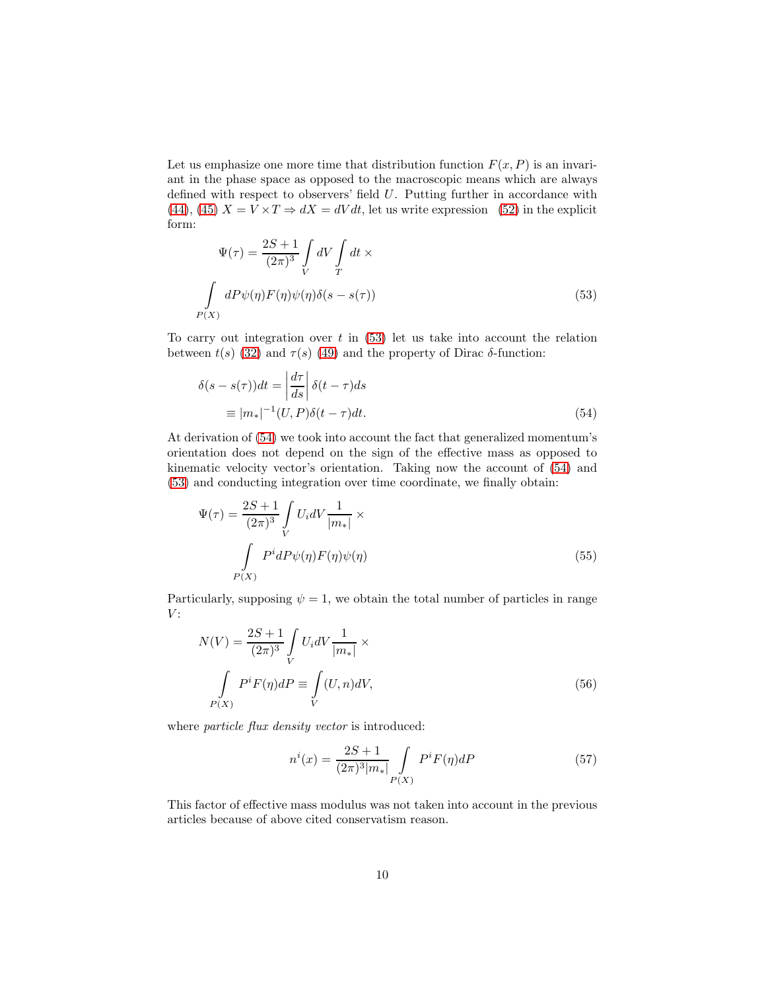Let us emphasize one more time that distribution function  $F(x, P)$  is an invariant in the phase space as opposed to the macroscopic means which are always defined with respect to observers' field U. Putting further in accordance with [\(44\)](#page-7-0), [\(45\)](#page-7-1)  $X = V \times T \Rightarrow dX = dV dt$ , let us write expression [\(52\)](#page-8-2) in the explicit form:

<span id="page-9-0"></span>
$$
\Psi(\tau) = \frac{2S+1}{(2\pi)^3} \int\limits_V dV \int\limits_T dt \times
$$

$$
\int\limits_{P(X)} dP \psi(\eta) F(\eta) \psi(\eta) \delta(s - s(\tau))
$$
(53)

To carry out integration over  $t$  in [\(53\)](#page-9-0) let us take into account the relation between  $t(s)$  [\(32\)](#page-5-1) and  $\tau(s)$  [\(49\)](#page-8-0) and the property of Dirac δ-function:

<span id="page-9-1"></span>
$$
\delta(s - s(\tau))dt = \left| \frac{d\tau}{ds} \right| \delta(t - \tau)ds
$$
  

$$
\equiv |m_*|^{-1} (U, P)\delta(t - \tau)dt.
$$
 (54)

At derivation of [\(54\)](#page-9-1) we took into account the fact that generalized momentum's orientation does not depend on the sign of the effective mass as opposed to kinematic velocity vector's orientation. Taking now the account of [\(54\)](#page-9-1) and [\(53\)](#page-9-0) and conducting integration over time coordinate, we finally obtain:

<span id="page-9-2"></span>
$$
\Psi(\tau) = \frac{2S+1}{(2\pi)^3} \int\limits_V U_i dV \frac{1}{|m_*|} \times \int\limits_{P(X)} P^i dP \psi(\eta) F(\eta) \psi(\eta)
$$
\n(55)

Particularly, supposing  $\psi = 1$ , we obtain the total number of particles in range  $V:$ 

$$
N(V) = \frac{2S+1}{(2\pi)^3} \int\limits_V U_i dV \frac{1}{|m_*|} \times
$$
  

$$
\int\limits_{P(X)} P^i F(\eta) dP \equiv \int\limits_V (U, n) dV,
$$
 (56)

where *particle flux density vector* is introduced:

$$
n^{i}(x) = \frac{2S + 1}{(2\pi)^{3}|m_{*}|} \int_{P(X)} P^{i}F(\eta)dP
$$
\n(57)

This factor of effective mass modulus was not taken into account in the previous articles because of above cited conservatism reason.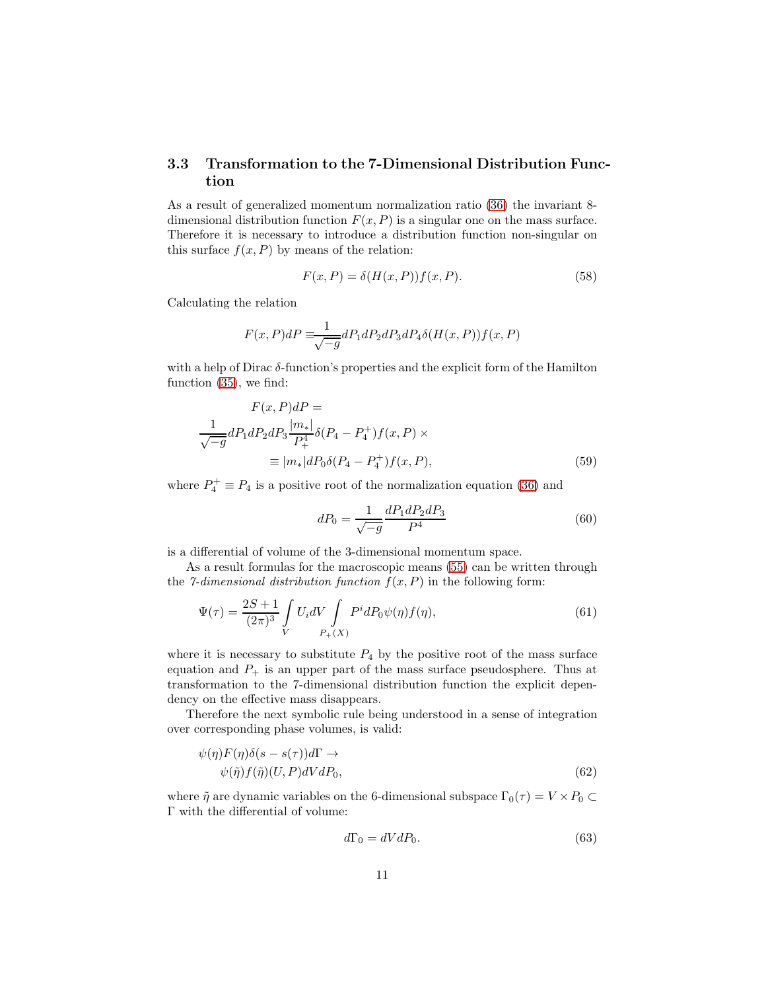### 3.3 Transformation to the 7-Dimensional Distribution Function

As a result of generalized momentum normalization ratio [\(36\)](#page-6-3) the invariant 8 dimensional distribution function  $F(x, P)$  is a singular one on the mass surface. Therefore it is necessary to introduce a distribution function non-singular on this surface  $f(x, P)$  by means of the relation:

$$
F(x, P) = \delta(H(x, P))f(x, P).
$$
\n(58)

Calculating the relation

$$
F(x, P)dP \equiv \frac{1}{\sqrt{-g}} dP_1 dP_2 dP_3 dP_4 \delta(H(x, P)) f(x, P)
$$

with a help of Dirac  $\delta$ -function's properties and the explicit form of the Hamilton function [\(35\)](#page-6-0), we find:

$$
F(x, P)dP =
$$
  
\n
$$
\frac{1}{\sqrt{-g}}dP_1dP_2dP_3\frac{|m_*|}{P_+^4}\delta(P_4 - P_4^+)f(x, P) \times
$$
  
\n
$$
\equiv |m_*|dP_0\delta(P_4 - P_4^+)f(x, P),
$$
\n(59)

where  $P_4^+ \equiv P_4$  is a positive root of the normalization equation [\(36\)](#page-6-3) and

$$
dP_0 = \frac{1}{\sqrt{-g}} \frac{dP_1 dP_2 dP_3}{P^4} \tag{60}
$$

is a differential of volume of the 3-dimensional momentum space.

As a result formulas for the macroscopic means [\(55\)](#page-9-2) can be written through the 7-dimensional distribution function  $f(x, P)$  in the following form:

<span id="page-10-0"></span>
$$
\Psi(\tau) = \frac{2S+1}{(2\pi)^3} \int\limits_V U_i dV \int\limits_{P_+(X)} P^i dP_0 \psi(\eta) f(\eta),\tag{61}
$$

where it is necessary to substitute  $P_4$  by the positive root of the mass surface equation and  $P_+$  is an upper part of the mass surface pseudosphere. Thus at transformation to the 7-dimensional distribution function the explicit dependency on the effective mass disappears.

Therefore the next symbolic rule being understood in a sense of integration over corresponding phase volumes, is valid:

$$
\psi(\eta)F(\eta)\delta(s-s(\tau))d\Gamma \to \psi(\tilde{\eta})f(\tilde{\eta})(U,P)dVdP_0,
$$
\n(62)

where  $\tilde{\eta}$  are dynamic variables on the 6-dimensional subspace  $\Gamma_0(\tau) = V \times P_0 \subset$ Γ with the differential of volume:

$$
d\Gamma_0 = dV dP_0. \tag{63}
$$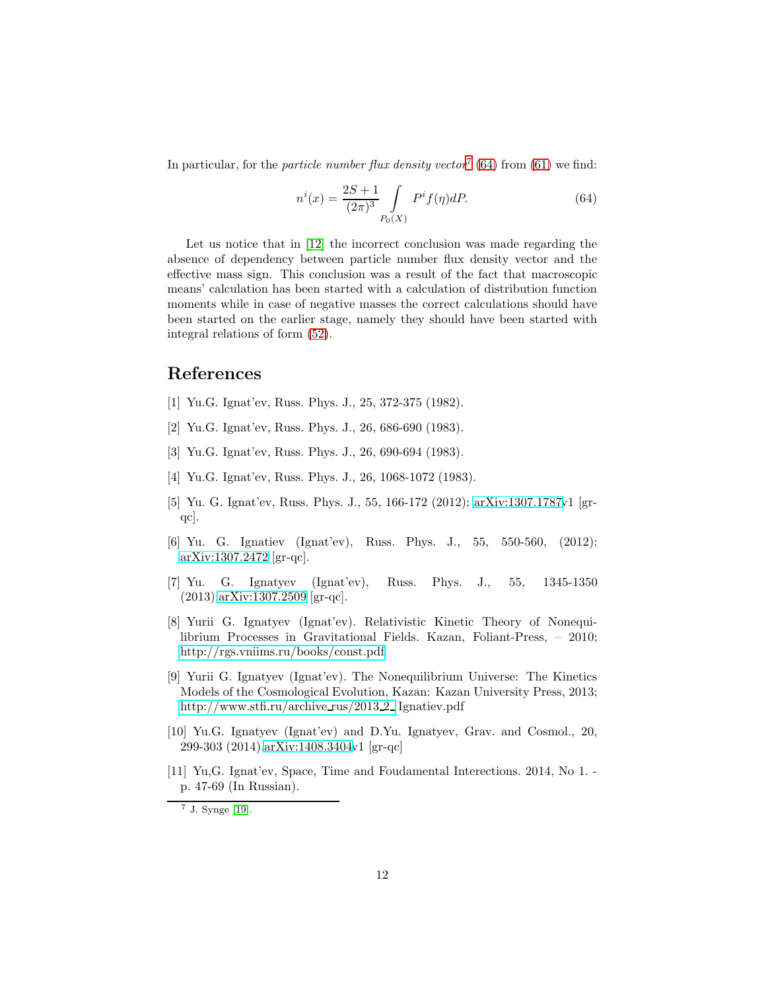In particular, for the *particle number flux density vector*<sup>[7](#page-11-11)</sup> [\(64\)](#page-11-12) from [\(61\)](#page-10-0) we find:

<span id="page-11-12"></span>
$$
n^{i}(x) = \frac{2S+1}{(2\pi)^{3}} \int_{P_{0}(X)} P^{i} f(\eta) dP.
$$
 (64)

Let us notice that in [\[12\]](#page-12-0) the incorrect conclusion was made regarding the absence of dependency between particle number flux density vector and the effective mass sign. This conclusion was a result of the fact that macroscopic means' calculation has been started with a calculation of distribution function moments while in case of negative masses the correct calculations should have been started on the earlier stage, namely they should have been started with integral relations of form [\(52\)](#page-8-2).

## <span id="page-11-0"></span>References

- <span id="page-11-1"></span>[1] Yu.G. Ignat'ev, Russ. Phys. J., 25, 372-375 (1982).
- <span id="page-11-2"></span>[2] Yu.G. Ignat'ev, Russ. Phys. J., 26, 686-690 (1983).
- <span id="page-11-3"></span>[3] Yu.G. Ignat'ev, Russ. Phys. J., 26, 690-694 (1983).
- <span id="page-11-4"></span>[4] Yu.G. Ignat'ev, Russ. Phys. J., 26, 1068-1072 (1983).
- [5] Yu. G. Ignat'ev, Russ. Phys. J., 55, 166-172 (2012); [arXiv:1307.1787v](http://arxiv.org/abs/1307.1787)1 [grqc].
- <span id="page-11-5"></span>[6] Yu. G. Ignatiev (Ignat'ev), Russ. Phys. J., 55, 550-560, (2012); [arXiv:1307.2472](http://arxiv.org/abs/1307.2472) [gr-qc].
- <span id="page-11-6"></span>[7] Yu. G. Ignatyev (Ignat'ev), Russ. Phys. J., 55, 1345-1350 (2013)[;arXiv:1307.2509](http://arxiv.org/abs/1307.2509) [gr-qc].
- <span id="page-11-8"></span>[8] Yurii G. Ignatyev (Ignat'ev). Relativistic Kinetic Theory of Nonequilibrium Processes in Gravitational Fields. Kazan, Foliant-Press, – 2010; [http://rgs.vniims.ru/books/const.pdf.](http://rgs.vniims.ru/books/const.pdf)
- <span id="page-11-9"></span>[9] Yurii G. Ignatyev (Ignat'ev). The Nonequilibrium Universe: The Kinetics Models of the Cosmological Evolution, Kazan: Kazan University Press, 2013; [http://www.stfi.ru/archive](http://www.stfi.ru/archive_rus/2013_2_) rus/2013 2 Ignatiev.pdf
- <span id="page-11-7"></span>[10] Yu.G. Ignatyev (Ignat'ev) and D.Yu. Ignatyev, Grav. and Cosmol., 20, 299-303 (2014)[.arXiv:1408.3404v](http://arxiv.org/abs/1408.3404)1 [gr-qc]
- <span id="page-11-10"></span>[11] Yu,G. Ignat'ev, Space, Time and Foudamental Interections. 2014, No 1. p. 47-69 (In Russian).

<span id="page-11-11"></span><sup>7</sup> J. Synge [\[19\]](#page-12-7).